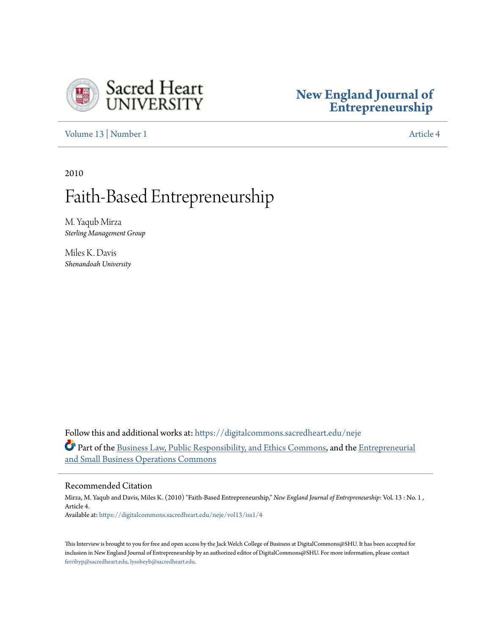

## **[New England Journal of](https://digitalcommons.sacredheart.edu/neje?utm_source=digitalcommons.sacredheart.edu%2Fneje%2Fvol13%2Fiss1%2F4&utm_medium=PDF&utm_campaign=PDFCoverPages) [Entrepreneurship](https://digitalcommons.sacredheart.edu/neje?utm_source=digitalcommons.sacredheart.edu%2Fneje%2Fvol13%2Fiss1%2F4&utm_medium=PDF&utm_campaign=PDFCoverPages)**

[Volume 13](https://digitalcommons.sacredheart.edu/neje/vol13?utm_source=digitalcommons.sacredheart.edu%2Fneje%2Fvol13%2Fiss1%2F4&utm_medium=PDF&utm_campaign=PDFCoverPages) | [Number 1](https://digitalcommons.sacredheart.edu/neje/vol13/iss1?utm_source=digitalcommons.sacredheart.edu%2Fneje%2Fvol13%2Fiss1%2F4&utm_medium=PDF&utm_campaign=PDFCoverPages) [Article 4](https://digitalcommons.sacredheart.edu/neje/vol13/iss1/4?utm_source=digitalcommons.sacredheart.edu%2Fneje%2Fvol13%2Fiss1%2F4&utm_medium=PDF&utm_campaign=PDFCoverPages)

2010

# Faith-Based Entrepreneurship

M. Yaqub Mirza *Sterling Management Group*

Miles K. Davis *Shenandoah University*

Follow this and additional works at: [https://digitalcommons.sacredheart.edu/neje](https://digitalcommons.sacredheart.edu/neje?utm_source=digitalcommons.sacredheart.edu%2Fneje%2Fvol13%2Fiss1%2F4&utm_medium=PDF&utm_campaign=PDFCoverPages) Part of the [Business Law, Public Responsibility, and Ethics Commons,](http://network.bepress.com/hgg/discipline/628?utm_source=digitalcommons.sacredheart.edu%2Fneje%2Fvol13%2Fiss1%2F4&utm_medium=PDF&utm_campaign=PDFCoverPages) and the [Entrepreneurial](http://network.bepress.com/hgg/discipline/630?utm_source=digitalcommons.sacredheart.edu%2Fneje%2Fvol13%2Fiss1%2F4&utm_medium=PDF&utm_campaign=PDFCoverPages) [and Small Business Operations Commons](http://network.bepress.com/hgg/discipline/630?utm_source=digitalcommons.sacredheart.edu%2Fneje%2Fvol13%2Fiss1%2F4&utm_medium=PDF&utm_campaign=PDFCoverPages)

#### Recommended Citation

Mirza, M. Yaqub and Davis, Miles K. (2010) "Faith-Based Entrepreneurship," *New England Journal of Entrepreneurship*: Vol. 13 : No. 1 , Article 4. Available at: [https://digitalcommons.sacredheart.edu/neje/vol13/iss1/4](https://digitalcommons.sacredheart.edu/neje/vol13/iss1/4?utm_source=digitalcommons.sacredheart.edu%2Fneje%2Fvol13%2Fiss1%2F4&utm_medium=PDF&utm_campaign=PDFCoverPages)

This Interview is brought to you for free and open access by the Jack Welch College of Business at DigitalCommons@SHU. It has been accepted for inclusion in New England Journal of Entrepreneurship by an authorized editor of DigitalCommons@SHU. For more information, please contact [ferribyp@sacredheart.edu, lysobeyb@sacredheart.edu.](mailto:ferribyp@sacredheart.edu,%20lysobeyb@sacredheart.edu)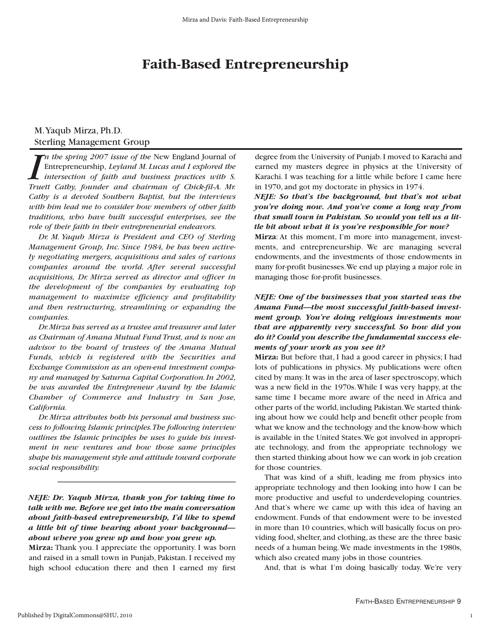## **Faith-Based Entrepreneurship**

#### M.Yaqub Mirza, Ph.D. Sterling Management Group

*In the spring 2007 issue of the New England Journal of Entrepreneurship, Leyland M. Lucas and I explored the intersection of faith and business practices with S. Truett Cathy, founder and chairman of Chick-fil-A. Mr. n the spring 2007 issue of the* New England Journal of Entrepreneurship, *Leyland M. Lucas and I explored the intersection of faith and business practices with S. Cathy is a devoted Southern Baptist, but the interviews with him lead me to consider how members of other faith traditions, who have built successful enterprises, see the role of their faith in their entrepreneurial endeavors.*

*Dr. M. Yaqub Mirza is President and CEO of Sterling Management Group, Inc. Since 1984, he has been actively negotiating mergers, acquisitions and sales of various companies around the world. After several successful acquisitions, Dr. Mirza served as director and officer in the development of the companies by evaluating top management to maximize efficiency and profitability and then restructuring, streamlining or expanding the companies.*

*Dr.Mirza has served as a trustee and treasurer and later as Chairman of Amana Mutual Fund Trust, and is now an advisor to the board of trustees of the Amana Mutual Funds, which is registered with the Securities and Exchange Commission as an open-end investment company and managed by Saturna Capital Corporation.In 2002, he was awarded the Entrepreneur Award by the Islamic Chamber of Commerce and Industry in San Jose, California.*

*Dr. Mirza attributes both his personal and business success to following Islamic principles.The following interview outlines the Islamic principles he uses to guide his investment in new ventures and how those same principles shape his management style and attitude toward corporate social responsibility.*

*NEJE: Dr. Yaqub Mirza, thank you for taking time to talk with me. Before we get into the main conversation about faith-based entrepreneurship, I'd like to spend a little bit of time hearing about your background about where you grew up and how you grew up.* 

**Mirza:** Thank you. I appreciate the opportunity. I was born and raised in a small town in Punjab, Pakistan. I received my high school education there and then I earned my first degree from the University of Punjab.I moved to Karachi and earned my masters degree in physics at the University of Karachi. I was teaching for a little while before I came here in 1970, and got my doctorate in physics in 1974.

*NEJE: So that's the background, but that's not what you're doing now. And you've come a long way from that small town in Pakistan. So would you tell us a little bit about what it is you're responsible for now?*

**Mirza**: At this moment, I'm more into management, investments, and entrepreneurship. We are managing several endowments, and the investments of those endowments in many for-profit businesses.We end up playing a major role in managing those for-profit businesses.

#### *NEJE: One of the businesses that you started was the Amana Fund—the most successful faith-based investment group. You're doing religious investments now that are apparently very successful. So how did you do it? Could you describe the fundamental success elements of your work as you see it?*

**Mirza:** But before that, I had a good career in physics; I had lots of publications in physics. My publications were often cited by many. It was in the area of laser spectroscopy, which was a new field in the 1970s.While I was very happy, at the same time I became more aware of the need in Africa and other parts of the world, including Pakistan.We started thinking about how we could help and benefit other people from what we know and the technology and the know-how which is available in the United States.We got involved in appropriate technology, and from the appropriate technology we then started thinking about how we can work in job creation for those countries.

That was kind of a shift, leading me from physics into appropriate technology and then looking into how I can be more productive and useful to underdeveloping countries. And that's where we came up with this idea of having an endowment. Funds of that endowment were to be invested in more than 10 countries, which will basically focus on providing food, shelter, and clothing, as these are the three basic needs of a human being.We made investments in the 1980s, which also created many jobs in those countries.

And, that is what I'm doing basically today. We're very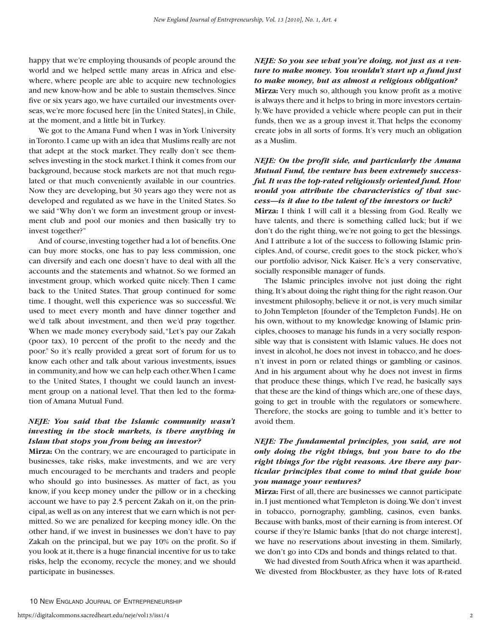happy that we're employing thousands of people around the world and we helped settle many areas in Africa and elsewhere, where people are able to acquire new technologies and new know-how and be able to sustain themselves. Since five or six years ago, we have curtailed our investments overseas,we're more focused here [in the United States],in Chile, at the moment, and a little bit in Turkey.

We got to the Amana Fund when I was in York University in Toronto.I came up with an idea that Muslims really are not that adept at the stock market. They really don't see themselves investing in the stock market.I think it comes from our background, because stock markets are not that much regulated or that much conveniently available in our countries. Now they are developing, but 30 years ago they were not as developed and regulated as we have in the United States. So we said "Why don't we form an investment group or investment club and pool our monies and then basically try to invest together?"

And of course,investing together had a lot of benefits.One can buy more stocks, one has to pay less commission, one can diversify and each one doesn't have to deal with all the accounts and the statements and whatnot. So we formed an investment group, which worked quite nicely. Then I came back to the United States. That group continued for some time. I thought, well this experience was so successful. We used to meet every month and have dinner together and we'd talk about investment, and then we'd pray together. When we made money everybody said,"Let's pay our Zakah (poor tax), 10 percent of the profit to the needy and the poor." So it's really provided a great sort of forum for us to know each other and talk about various investments, issues in community,and how we can help each other.When I came to the United States, I thought we could launch an investment group on a national level. That then led to the formation of Amana Mutual Fund.

#### *NEJE: You said that the Islamic community wasn't investing in the stock markets, is there anything in Islam that stops you from being an investor?*

**Mirza:** On the contrary, we are encouraged to participate in businesses, take risks, make investments, and we are very much encouraged to be merchants and traders and people who should go into businesses. As matter of fact, as you know, if you keep money under the pillow or in a checking account we have to pay 2.5 percent Zakah on it, on the principal,as well as on any interest that we earn which is not permitted. So we are penalized for keeping money idle. On the other hand, if we invest in businesses we don't have to pay Zakah on the principal, but we pay 10% on the profit. So if you look at it, there is a huge financial incentive for us to take risks, help the economy, recycle the money, and we should participate in businesses.

*NEJE: So you see what you're doing, not just as a venture to make money. You wouldn't start up a fund just to make money, but as almost a religious obligation?*  **Mirza:** Very much so, although you know profit as a motive is always there and it helps to bring in more investors certainly.We have provided a vehicle where people can put in their funds, then we as a group invest it.That helps the economy create jobs in all sorts of forms. It's very much an obligation as a Muslim.

#### *NEJE: On the profit side, and particularly the Amana Mutual Fund, the venture has been extremely successful. It was the top-rated religiously oriented fund. How would you attribute the characteristics of that success—is it due to the talent of the investors or luck?*

**Mirza:** I think I will call it a blessing from God. Really we have talents, and there is something called luck; but if we don't do the right thing, we're not going to get the blessings. And I attribute a lot of the success to following Islamic principles.And, of course, credit goes to the stock picker, who's our portfolio advisor, Nick Kaiser. He's a very conservative, socially responsible manager of funds.

The Islamic principles involve not just doing the right thing.It's about doing the right thing for the right reason.Our investment philosophy, believe it or not, is very much similar to John Templeton [founder of the Templeton Funds]. He on his own, without to my knowledge knowing of Islamic principles, chooses to manage his funds in a very socially responsible way that is consistent with Islamic values. He does not invest in alcohol, he does not invest in tobacco, and he doesn't invest in porn or related things or gambling or casinos. And in his argument about why he does not invest in firms that produce these things, which I've read, he basically says that these are the kind of things which are,one of these days, going to get in trouble with the regulators or somewhere. Therefore, the stocks are going to tumble and it's better to avoid them.

### *NEJE: The fundamental principles, you said, are not only doing the right things, but you have to do the right things for the right reasons. Are there any particular principles that come to mind that guide how you manage your ventures?*

**Mirza:** First of all, there are businesses we cannot participate in.I just mentioned what Templeton is doing.We don't invest in tobacco, pornography, gambling, casinos, even banks. Because with banks, most of their earning is from interest. Of course if they're Islamic banks [that do not charge interest], we have no reservations about investing in them. Similarly, we don't go into CDs and bonds and things related to that.

We had divested from South Africa when it was apartheid. We divested from Blockbuster, as they have lots of R-rated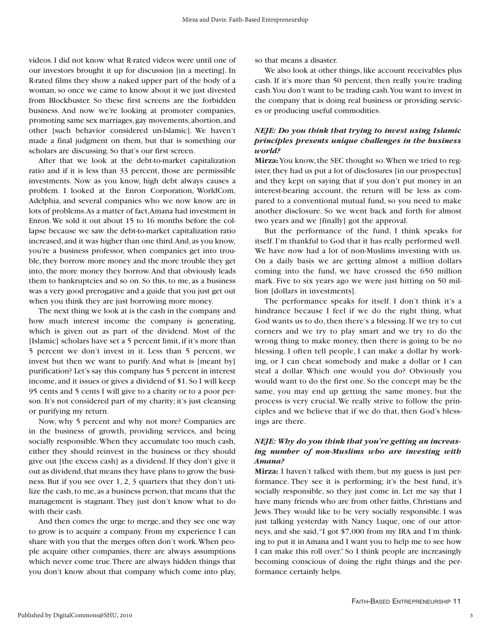videos. I did not know what R-rated videos were until one of our investors brought it up for discussion [in a meeting]. In R-rated films they show a naked upper part of the body of a woman, so once we came to know about it we just divested from Blockbuster. So these first screens are the forbidden business. And now we're looking at promoter companies, promoting same sex marriages,gay movements,abortion,and other [such behavior considered un-Islamic]. We haven't made a final judgment on them, but that is something our scholars are discussing. So that's our first screen.

After that we look at the debt-to-market capitalization ratio and if it is less than 33 percent, those are permissible investments. Now as you know, high debt always causes a problem. I looked at the Enron Corporation, WorldCom, Adelphia, and several companies who we now know are in lots of problems.As a matter of fact,Amana had investment in Enron.We sold it out about 15 to 16 months before the collapse because we saw the debt-to-market capitalization ratio increased, and it was higher than one third. And, as you know, you're a business professor, when companies get into trouble, they borrow more money and the more trouble they get into, the more money they borrow.And that obviously leads them to bankruptcies and so on. So this, to me, as a business was a very good prerogative and a guide that you just get out when you think they are just borrowing more money.

The next thing we look at is the cash in the company and how much interest income the company is generating, which is given out as part of the dividend. Most of the [Islamic] scholars have set a 5 percent limit, if it's more than 5 percent we don't invest in it. Less than 5 percent, we invest but then we want to purify. And what is [meant by] purification? Let's say this company has 5 percent in interest income, and it issues or gives a dividend of \$1. So I will keep 95 cents and 5 cents I will give to a charity or to a poor person. It's not considered part of my charity; it's just cleansing or purifying my return.

Now, why 5 percent and why not more? Companies are in the business of growth, providing services, and being socially responsible.When they accumulate too much cash, either they should reinvest in the business or they should give out [the excess cash] as a dividend. If they don't give it out as dividend, that means they have plans to grow the business. But if you see over 1, 2, 3 quarters that they don't utilize the cash, to me, as a business person, that means that the management is stagnant. They just don't know what to do with their cash.

And then comes the urge to merge, and they see one way to grow is to acquire a company. From my experience I can share with you that the merges often don't work.When people acquire other companies, there are always assumptions which never come true.There are always hidden things that you don't know about that company which come into play,

so that means a disaster.

We also look at other things, like account receivables plus cash. If it's more than 50 percent, then really you're trading cash.You don't want to be trading cash.You want to invest in the company that is doing real business or providing services or producing useful commodities.

#### *NEJE: Do you think that trying to invest using Islamic principles presents unique challenges in the business world?*

**Mirza:**You know, the SEC thought so.When we tried to register, they had us put a lot of disclosures [in our prospectus] and they kept on saying that if you don't put money in an interest-bearing account, the return will be less as compared to a conventional mutual fund, so you need to make another disclosure. So we went back and forth for almost two years and we [finally] got the approval.

But the performance of the fund, I think speaks for itself. I'm thankful to God that it has really performed well. We have now had a lot of non-Muslims investing with us. On a daily basis we are getting almost a million dollars coming into the fund, we have crossed the 650 million mark. Five to six years ago we were just hitting on 50 million [dollars in investments].

The performance speaks for itself. I don't think it's a hindrance because I feel if we do the right thing, what God wants us to do, then there's a blessing.If we try to cut corners and we try to play smart and we try to do the wrong thing to make money, then there is going to be no blessing. I often tell people, I can make a dollar by working, or I can cheat somebody and make a dollar or I can steal a dollar. Which one would you do? Obviously you would want to do the first one. So the concept may be the same, you may end up getting the same money, but the process is very crucial.We really strive to follow the principles and we believe that if we do that, then God's blessings are there.

#### *NEJE: Why do you think that you're getting an increasing number of non-Muslims who are investing with Amana?*

**Mirza:** I haven't talked with them, but my guess is just performance. They see it is performing; it's the best fund, it's socially responsible, so they just come in. Let me say that I have many friends who are from other faiths, Christians and Jews.They would like to be very socially responsible. I was just talking yesterday with Nancy Luque, one of our attorneys, and she said,"I got \$7,000 from my IRA and I'm thinking to put it in Amana and I want you to help me to see how I can make this roll over." So I think people are increasingly becoming conscious of doing the right things and the performance certainly helps.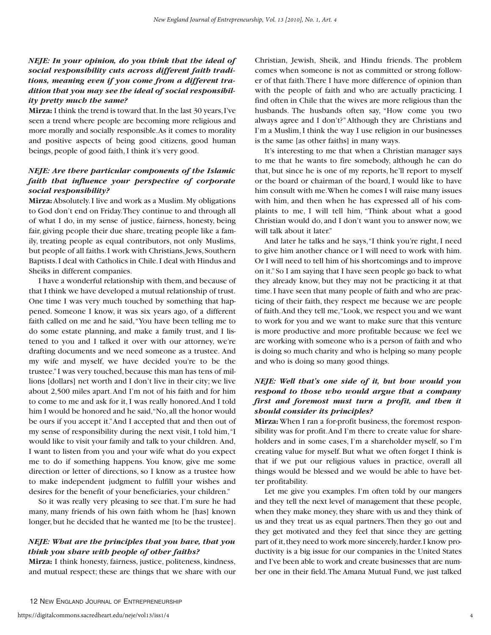#### *NEJE: In your opinion, do you think that the ideal of social responsibility cuts across different faith traditions, meaning even if you come from a different tradition that you may see the ideal of social responsibility pretty much the same?*

**Mirza:** I think the trend is toward that.In the last 30 years,I've seen a trend where people are becoming more religious and more morally and socially responsible.As it comes to morality and positive aspects of being good citizens, good human beings, people of good faith, I think it's very good.

### *NEJE: Are there particular components of the Islamic faith that influence your perspective of corporate social responsibility?*

**Mirza:**Absolutely.I live and work as a Muslim.My obligations to God don't end on Friday.They continue to and through all of what I do, in my sense of justice, fairness, honesty, being fair, giving people their due share, treating people like a family, treating people as equal contributors, not only Muslims, but people of all faiths. I work with Christians, Jews, Southern Baptists.I deal with Catholics in Chile.I deal with Hindus and Sheiks in different companies.

I have a wonderful relationship with them, and because of that I think we have developed a mutual relationship of trust. One time I was very much touched by something that happened. Someone I know, it was six years ago, of a different faith called on me and he said,"You have been telling me to do some estate planning, and make a family trust, and I listened to you and I talked it over with our attorney, we're drafting documents and we need someone as a trustee. And my wife and myself, we have decided you're to be the trustee."I was very touched,because this man has tens of millions [dollars] net worth and I don't live in their city; we live about 2,500 miles apart.And I'm not of his faith and for him to come to me and ask for it, I was really honored.And I told him I would be honored and he said, "No, all the honor would be ours if you accept it."And I accepted that and then out of my sense of responsibility during the next visit, I told him,"I would like to visit your family and talk to your children. And, I want to listen from you and your wife what do you expect me to do if something happens. You know, give me some direction or letter of directions, so I know as a trustee how to make independent judgment to fulfill your wishes and desires for the benefit of your beneficiaries, your children."

So it was really very pleasing to see that. I'm sure he had many, many friends of his own faith whom he [has] known longer, but he decided that he wanted me [to be the trustee].

#### *NEJE: What are the principles that you have, that you think you share with people of other faiths?*

**Mirza:** I think honesty, fairness, justice, politeness, kindness, and mutual respect; these are things that we share with our

Christian, Jewish, Sheik, and Hindu friends. The problem comes when someone is not as committed or strong follower of that faith.There I have more difference of opinion than with the people of faith and who are actually practicing. I find often in Chile that the wives are more religious than the husbands. The husbands often say, "How come you two always agree and I don't?"Although they are Christians and I'm a Muslim, I think the way I use religion in our businesses is the same [as other faiths] in many ways.

It's interesting to me that when a Christian manager says to me that he wants to fire somebody, although he can do that, but since he is one of my reports, he'll report to myself or the board or chairman of the board, I would like to have him consult with me.When he comes I will raise many issues with him, and then when he has expressed all of his complaints to me, I will tell him, "Think about what a good Christian would do, and I don't want you to answer now, we will talk about it later."

And later he talks and he says,"I think you're right, I need to give him another chance or I will need to work with him. Or I will need to tell him of his shortcomings and to improve on it."So I am saying that I have seen people go back to what they already know, but they may not be practicing it at that time.I have seen that many people of faith and who are practicing of their faith, they respect me because we are people of faith.And they tell me,"Look, we respect you and we want to work for you and we want to make sure that this venture is more productive and more profitable because we feel we are working with someone who is a person of faith and who is doing so much charity and who is helping so many people and who is doing so many good things.

### *NEJE: Well that's one side of it, but how would you respond to those who would argue that a company first and foremost must turn a profit, and then it should consider its principles?*

**Mirza:** When I ran a for-profit business, the foremost responsibility was for profit.And I'm there to create value for shareholders and in some cases, I'm a shareholder myself, so I'm creating value for myself. But what we often forget I think is that if we put our religious values in practice, overall all things would be blessed and we would be able to have better profitability.

Let me give you examples. I'm often told by our mangers and they tell the next level of management that these people, when they make money, they share with us and they think of us and they treat us as equal partners.Then they go out and they get motivated and they feel that since they are getting part of it, they need to work more sincerely, harder. I know productivity is a big issue for our companies in the United States and I've been able to work and create businesses that are number one in their field.The Amana Mutual Fund, we just talked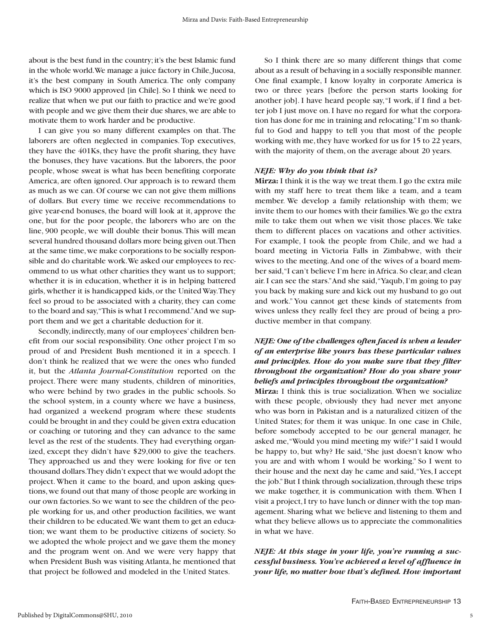about is the best fund in the country; it's the best Islamic fund in the whole world.We manage a juice factory in Chile,Jucosa, it's the best company in South America. The only company which is ISO 9000 approved [in Chile]. So I think we need to realize that when we put our faith to practice and we're good with people and we give them their due shares, we are able to motivate them to work harder and be productive.

I can give you so many different examples on that. The laborers are often neglected in companies. Top executives, they have the 401Ks, they have the profit sharing, they have the bonuses, they have vacations. But the laborers, the poor people, whose sweat is what has been benefiting corporate America, are often ignored. Our approach is to reward them as much as we can. Of course we can not give them millions of dollars. But every time we receive recommendations to give year-end bonuses, the board will look at it, approve the one, but for the poor people, the laborers who are on the line, 900 people, we will double their bonus.This will mean several hundred thousand dollars more being given out.Then at the same time,we make corporations to be socially responsible and do charitable work.We asked our employees to recommend to us what other charities they want us to support; whether it is in education, whether it is in helping battered girls, whether it is handicapped kids, or the United Way.They feel so proud to be associated with a charity, they can come to the board and say,"This is what I recommend."And we support them and we get a charitable deduction for it.

Secondly, indirectly, many of our employees' children benefit from our social responsibility. One other project I'm so proud of and President Bush mentioned it in a speech. I don't think he realized that we were the ones who funded it, but the *Atlanta Journal-Constitution* reported on the project. There were many students, children of minorities, who were behind by two grades in the public schools. So the school system, in a county where we have a business, had organized a weekend program where these students could be brought in and they could be given extra education or coaching or tutoring and they can advance to the same level as the rest of the students. They had everything organized, except they didn't have \$29,000 to give the teachers. They approached us and they were looking for five or ten thousand dollars.They didn't expect that we would adopt the project. When it came to the board, and upon asking questions,we found out that many of those people are working in our own factories. So we want to see the children of the people working for us, and other production facilities, we want their children to be educated.We want them to get an education; we want them to be productive citizens of society. So we adopted the whole project and we gave them the money and the program went on. And we were very happy that when President Bush was visiting Atlanta, he mentioned that that project be followed and modeled in the United States.

So I think there are so many different things that come about as a result of behaving in a socially responsible manner. One final example, I know loyalty in corporate America is two or three years [before the person starts looking for another job]. I have heard people say,"I work, if I find a better job I just move on. I have no regard for what the corporation has done for me in training and relocating."I'm so thankful to God and happy to tell you that most of the people working with me,they have worked for us for 15 to 22 years, with the majority of them, on the average about 20 years.

#### *NEJE: Why do you think that is?*

**Mirza:** I think it is the way we treat them. I go the extra mile with my staff here to treat them like a team, and a team member. We develop a family relationship with them; we invite them to our homes with their families.We go the extra mile to take them out when we visit those places. We take them to different places on vacations and other activities. For example, I took the people from Chile, and we had a board meeting in Victoria Falls in Zimbabwe, with their wives to the meeting.And one of the wives of a board member said,"I can't believe I'm here in Africa. So clear, and clean air. I can see the stars."And she said,"Yaqub, I'm going to pay you back by making sure and kick out my husband to go out and work." You cannot get these kinds of statements from wives unless they really feel they are proud of being a productive member in that company.

#### *NEJE: One of the challenges often faced is when a leader of an enterprise like yours has these particular values and principles. How do you make sure that they filter throughout the organization? How do you share your beliefs and principles throughout the organization?*

**Mirza:** I think this is true socialization. When we socialize with these people, obviously they had never met anyone who was born in Pakistan and is a naturalized citizen of the United States; for them it was unique. In one case in Chile, before somebody accepted to be our general manager, he asked me,"Would you mind meeting my wife?"I said I would be happy to, but why? He said,"She just doesn't know who you are and with whom I would be working." So I went to their house and the next day he came and said,"Yes, I accept the job." But I think through socialization, through these trips we make together, it is communication with them. When I visit a project,I try to have lunch or dinner with the top management. Sharing what we believe and listening to them and what they believe allows us to appreciate the commonalities in what we have.

*NEJE: At this stage in your life, you're running a successful business. You've achieved a level of affluence in your life, no matter how that's defined. How important*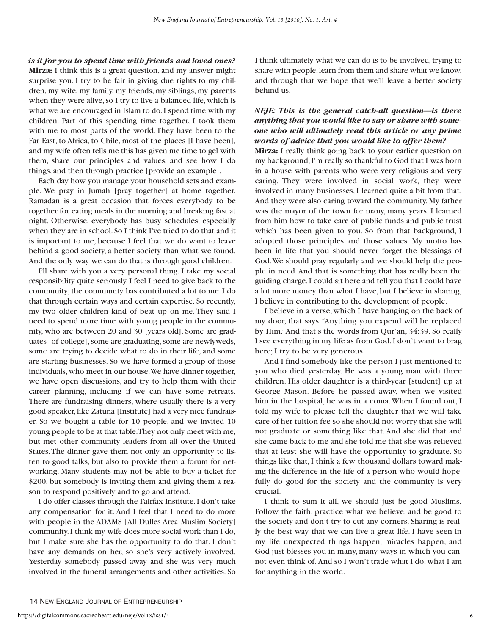*is it for you to spend time with friends and loved ones?* **Mirza:** I think this is a great question, and my answer might surprise you. I try to be fair in giving due rights to my children, my wife, my family, my friends, my siblings, my parents when they were alive, so I try to live a balanced life, which is what we are encouraged in Islam to do.I spend time with my children. Part of this spending time together, I took them with me to most parts of the world.They have been to the Far East, to Africa, to Chile, most of the places [I have been], and my wife often tells me this has given me time to gel with them, share our principles and values, and see how I do things, and then through practice [provide an example].

Each day how you manage your household sets and example. We pray in Jumah [pray together] at home together. Ramadan is a great occasion that forces everybody to be together for eating meals in the morning and breaking fast at night. Otherwise, everybody has busy schedules, especially when they are in school. So I think I've tried to do that and it is important to me, because I feel that we do want to leave behind a good society, a better society than what we found. And the only way we can do that is through good children.

I'll share with you a very personal thing. I take my social responsibility quite seriously. I feel I need to give back to the community; the community has contributed a lot to me. I do that through certain ways and certain expertise. So recently, my two older children kind of beat up on me. They said I need to spend more time with young people in the community, who are between 20 and 30 [years old]. Some are graduates [of college], some are graduating, some are newlyweds, some are trying to decide what to do in their life, and some are starting businesses. So we have formed a group of those individuals, who meet in our house.We have dinner together, we have open discussions, and try to help them with their career planning, including if we can have some retreats. There are fundraising dinners, where usually there is a very good speaker, like Zatuna [Institute] had a very nice fundraiser. So we bought a table for 10 people, and we invited 10 young people to be at that table.They not only meet with me, but met other community leaders from all over the United States.The dinner gave them not only an opportunity to listen to good talks, but also to provide them a forum for networking. Many students may not be able to buy a ticket for \$200, but somebody is inviting them and giving them a reason to respond positively and to go and attend.

I do offer classes through the Fairfax Institute. I don't take any compensation for it. And I feel that I need to do more with people in the ADAMS [All Dulles Area Muslim Society] community. I think my wife does more social work than I do, but I make sure she has the opportunity to do that. I don't have any demands on her, so she's very actively involved. Yesterday somebody passed away and she was very much involved in the funeral arrangements and other activities. So

I think ultimately what we can do is to be involved, trying to share with people,learn from them and share what we know, and through that we hope that we'll leave a better society behind us.

#### *NEJE: This is the general catch-all question—is there anything that you would like to say or share with someone who will ultimately read this article or any prime words of advice that you would like to offer them?*

**Mirza:** I really think going back to your earlier question on my background,I'm really so thankful to God that I was born in a house with parents who were very religious and very caring. They were involved in social work, they were involved in many businesses, I learned quite a bit from that. And they were also caring toward the community. My father was the mayor of the town for many, many years. I learned from him how to take care of public funds and public trust which has been given to you. So from that background, I adopted those principles and those values. My motto has been in life that you should never forget the blessings of God.We should pray regularly and we should help the people in need. And that is something that has really been the guiding charge. I could sit here and tell you that I could have a lot more money than what I have, but I believe in sharing, I believe in contributing to the development of people.

I believe in a verse, which I have hanging on the back of my door, that says:"Anything you expend will be replaced by Him."And that's the words from Qur'an, 34:39. So really I see everything in my life as from God. I don't want to brag here; I try to be very generous.

And I find somebody like the person I just mentioned to you who died yesterday. He was a young man with three children. His older daughter is a third-year [student] up at George Mason. Before he passed away, when we visited him in the hospital, he was in a coma.When I found out, I told my wife to please tell the daughter that we will take care of her tuition fee so she should not worry that she will not graduate or something like that. And she did that and she came back to me and she told me that she was relieved that at least she will have the opportunity to graduate. So things like that, I think a few thousand dollars toward making the difference in the life of a person who would hopefully do good for the society and the community is very crucial.

I think to sum it all, we should just be good Muslims. Follow the faith, practice what we believe, and be good to the society and don't try to cut any corners. Sharing is really the best way that we can live a great life. I have seen in my life unexpected things happen, miracles happen, and God just blesses you in many, many ways in which you cannot even think of. And so I won't trade what I do, what I am for anything in the world.